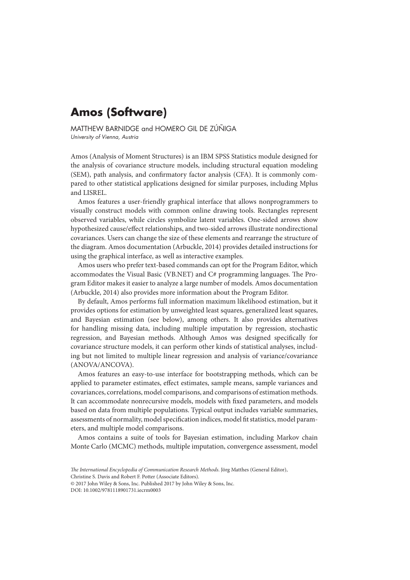## **Amos (Software)**

MATTHEW BARNIDGE and HOMERO GIL DE ZÚÑIGA University of Vienna, Austria

Amos (Analysis of Moment Structures) is an IBM SPSS Statistics module designed for the analysis of covariance structure models, including structural equation modeling (SEM), path analysis, and confirmatory factor analysis (CFA). It is commonly compared to other statistical applications designed for similar purposes, including Mplus and LISREL.

Amos features a user-friendly graphical interface that allows nonprogrammers to visually construct models with common online drawing tools. Rectangles represent observed variables, while circles symbolize latent variables. One-sided arrows show hypothesized cause/effect relationships, and two-sided arrows illustrate nondirectional covariances. Users can change the size of these elements and rearrange the structure of the diagram. Amos documentation (Arbuckle, 2014) provides detailed instructions for using the graphical interface, as well as interactive examples.

Amos users who prefer text-based commands can opt for the Program Editor, which accommodates the Visual Basic (VB.NET) and C# programming languages. The Program Editor makes it easier to analyze a large number of models. Amos documentation (Arbuckle, 2014) also provides more information about the Program Editor.

By default, Amos performs full information maximum likelihood estimation, but it provides options for estimation by unweighted least squares, generalized least squares, and Bayesian estimation (see below), among others. It also provides alternatives for handling missing data, including multiple imputation by regression, stochastic regression, and Bayesian methods. Although Amos was designed specifically for covariance structure models, it can perform other kinds of statistical analyses, including but not limited to multiple linear regression and analysis of variance/covariance (ANOVA/ANCOVA).

Amos features an easy-to-use interface for bootstrapping methods, which can be applied to parameter estimates, effect estimates, sample means, sample variances and covariances, correlations, model comparisons, and comparisons of estimation methods. It can accommodate nonrecursive models, models with fixed parameters, and models based on data from multiple populations. Typical output includes variable summaries, assessments of normality, model specification indices, model fit statistics, model parameters, and multiple model comparisons.

Amos contains a suite of tools for Bayesian estimation, including Markov chain Monte Carlo (MCMC) methods, multiple imputation, convergence assessment, model

Christine S. Davis and Robert F. Potter (Associate Editors).

*The International Encyclopedia of Communication Research Methods*. Jörg Matthes (General Editor),

<sup>© 2017</sup> John Wiley & Sons, Inc. Published 2017 by John Wiley & Sons, Inc.

DOI: 10.1002/9781118901731.iecrm0003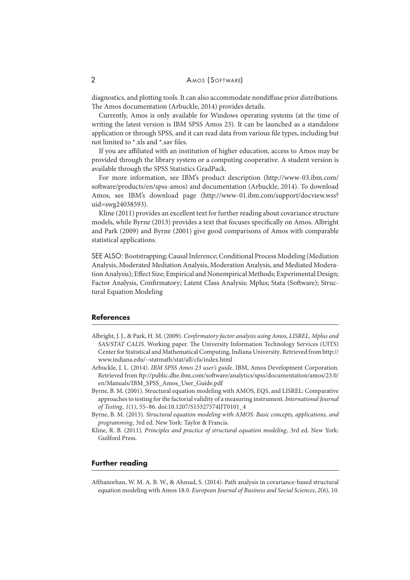diagnostics, and plotting tools. It can also accommodate nondiffuse prior distributions. The Amos documentation (Arbuckle, 2014) provides details.

Currently, Amos is only available for Windows operating systems (at the time of writing the latest version is IBM SPSS Amos 23). It can be launched as a standalone application or through SPSS, and it can read data from various file types, including but not limited to \*.xls and \*.sav files.

If you are affiliated with an institution of higher education, access to Amos may be provided through the library system or a computing cooperative. A student version is available through the SPSS Statistics GradPack.

For more information, see IBM's product description (http://www-03.ibm.com/ software/products/en/spss-amos) and documentation (Arbuckle, 2014). To download Amos, see IBM's download page (http://www-01.ibm.com/support/docview.wss? uid=swg24038593).

Kline (2011) provides an excellent text for further reading about covariance structure models, while Byrne (2013) provides a text that focuses specifically on Amos. Albright and Park (2009) and Byrne (2001) give good comparisons of Amos with comparable statistical applications.

SEE ALSO: Bootstrapping; Causal Inference; Conditional Process Modeling (Mediation Analysis, Moderated Mediation Analysis, Moderation Analysis, and Mediated Moderation Analysis); Effect Size; Empirical and Nonempirical Methods; Experimental Design; Factor Analysis, Confirmatory; Latent Class Analysis; Mplus; Stata (Software); Structural Equation Modeling

## **References**

- Albright, J. J., & Park, H. M. (2009). *Confirmatory factor analysis using Amos, LISREL, Mplus and SAS/STAT CALIS*. Working paper. The University Information Technology Services (UITS) Center for Statistical and Mathematical Computing, Indiana University. Retrieved from http:// www.indiana.edu/~statmath/stat/all/cfa/index.html
- Arbuckle, J. L. (2014). *IBM SPSS Amos 23 user's guide*. IBM, Amos Development Corporation. Retrieved from ftp://public.dhe.ibm.com/software/analytics/spss/documentation/amos/23.0/ en/Manuals/IBM\_SPSS\_Amos\_User\_Guide.pdf
- Byrne, B. M. (2001). Structural equation modeling with AMOS, EQS, and LISREL: Comparative approaches to testing for the factorial validity of a measuring instrument. *International Journal of Testing*, *1*(1), 55–86. doi:10.1207/S15327574IJT0101\_4
- Byrne, B. M. (2013). *Structural equation modeling with AMOS: Basic concepts, applications, and programming*, 3rd ed. New York: Taylor & Francis.
- Kline, R. B. (2011). *Principles and practice of structural equation modeling*, 3rd ed. New York: Guilford Press.

## **Further reading**

Afthanorhan, W. M. A. B. W., & Ahmad, S. (2014). Path analysis in covariance-based structural equation modeling with Amos 18.0. *European Journal of Business and Social Sciences*, *2*(6), 10.